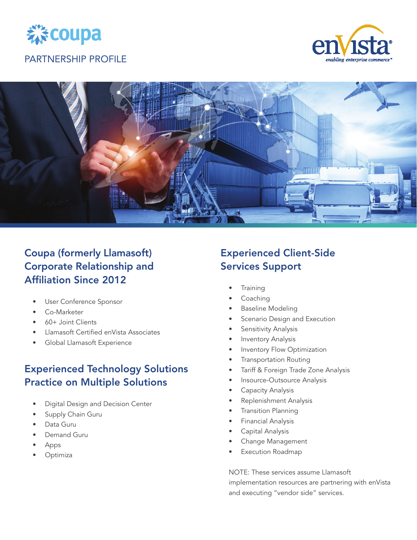

# enabling enterprise



## Coupa (formerly Llamasoft) Corporate Relationship and Affiliation Since 2012

- User Conference Sponsor
- Co-Marketer
- 60+ Joint Clients
- Llamasoft Certified enVista Associates
- Global Llamasoft Experience

## Experienced Technology Solutions Practice on Multiple Solutions

- Digital Design and Decision Center
- Supply Chain Guru
- Data Guru
- Demand Guru
- Apps
- Optimiza

## Experienced Client-Side Services Support

- **Training**
- Coaching
- Baseline Modeling
- Scenario Design and Execution
- Sensitivity Analysis
- Inventory Analysis
- Inventory Flow Optimization
- Transportation Routing
- Tariff & Foreign Trade Zone Analysis
- Insource-Outsource Analysis
- Capacity Analysis
- Replenishment Analysis
- Transition Planning
- Financial Analysis
- Capital Analysis
- Change Management
- **Execution Roadmap**

NOTE: These services assume Llamasoft implementation resources are partnering with enVista and executing "vendor side" services.